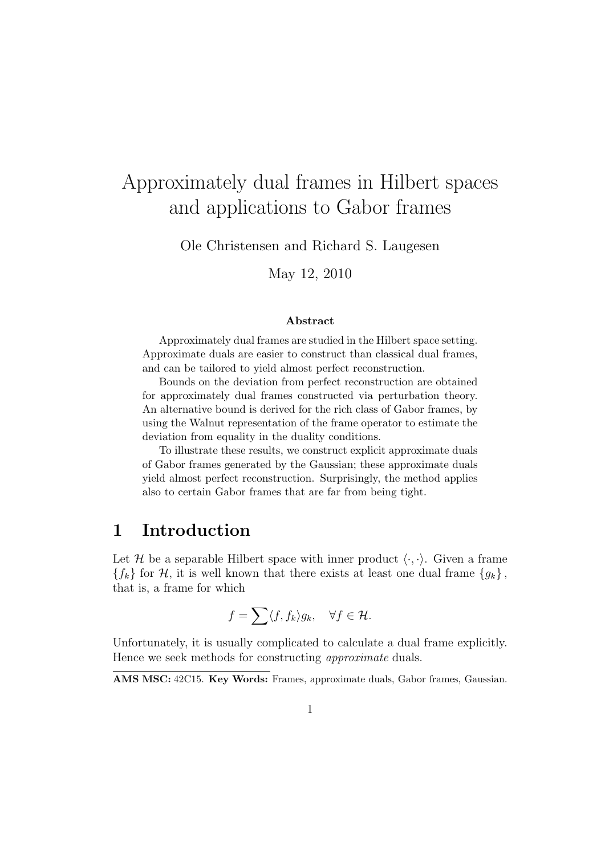# Approximately dual frames in Hilbert spaces and applications to Gabor frames

Ole Christensen and Richard S. Laugesen

May 12, 2010

#### **Abstract**

Approximately dual frames are studied in the Hilbert space setting. Approximate duals are easier to construct than classical dual frames, and can be tailored to yield almost perfect reconstruction.

Bounds on the deviation from perfect reconstruction are obtained for approximately dual frames constructed via perturbation theory. An alternative bound is derived for the rich class of Gabor frames, by using the Walnut representation of the frame operator to estimate the deviation from equality in the duality conditions.

To illustrate these results, we construct explicit approximate duals of Gabor frames generated by the Gaussian; these approximate duals yield almost perfect reconstruction. Surprisingly, the method applies also to certain Gabor frames that are far from being tight.

## **1 Introduction**

Let *H* be a separable Hilbert space with inner product  $\langle \cdot, \cdot \rangle$ . Given a frame  ${f_k}$  for *H*, it is well known that there exists at least one dual frame  ${g_k}$ , that is, a frame for which

$$
f = \sum \langle f, f_k \rangle g_k, \quad \forall f \in \mathcal{H}.
$$

Unfortunately, it is usually complicated to calculate a dual frame explicitly. Hence we seek methods for constructing *approximate* duals.

**AMS MSC:** 42C15. **Key Words:** Frames, approximate duals, Gabor frames, Gaussian.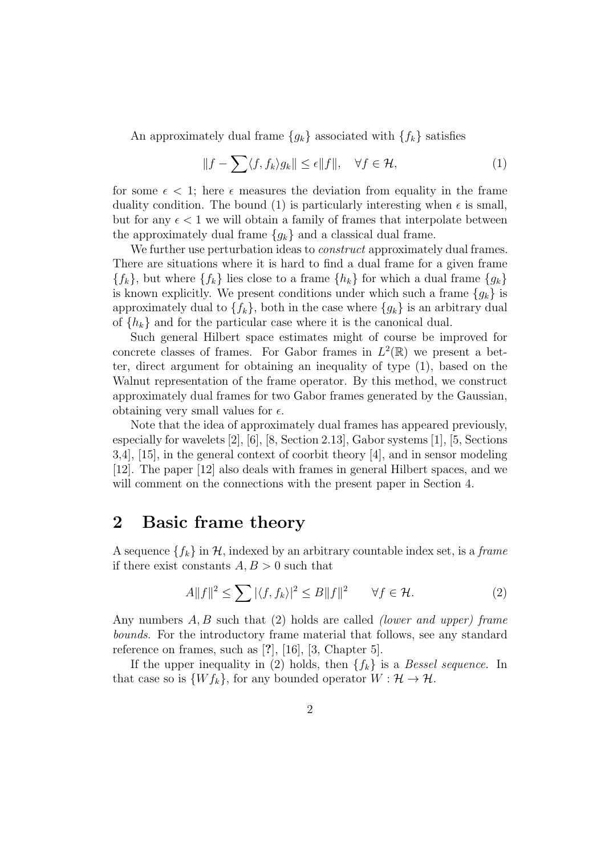An approximately dual frame  ${g_k}$  associated with  ${f_k}$  satisfies

$$
||f - \sum \langle f, f_k \rangle g_k|| \le \epsilon ||f||, \quad \forall f \in \mathcal{H}, \tag{1}
$$

for some  $\epsilon$  < 1; here  $\epsilon$  measures the deviation from equality in the frame duality condition. The bound (1) is particularly interesting when  $\epsilon$  is small, but for any  $\epsilon < 1$  we will obtain a family of frames that interpolate between the approximately dual frame  ${g_k}$  and a classical dual frame.

We further use perturbation ideas to *construct* approximately dual frames. There are situations where it is hard to find a dual frame for a given frame  ${f_k}$ , but where  ${f_k}$  lies close to a frame  ${h_k}$  for which a dual frame  ${g_k}$ is known explicitly. We present conditions under which such a frame  ${g_k}$  is approximately dual to  $\{f_k\}$ , both in the case where  $\{g_k\}$  is an arbitrary dual of  ${h_k}$  and for the particular case where it is the canonical dual.

Such general Hilbert space estimates might of course be improved for concrete classes of frames. For Gabor frames in  $L^2(\mathbb{R})$  we present a better, direct argument for obtaining an inequality of type (1), based on the Walnut representation of the frame operator. By this method, we construct approximately dual frames for two Gabor frames generated by the Gaussian, obtaining very small values for  $\epsilon$ .

Note that the idea of approximately dual frames has appeared previously, especially for wavelets [2], [6], [8, Section 2.13], Gabor systems [1], [5, Sections 3,4], [15], in the general context of coorbit theory [4], and in sensor modeling [12]. The paper [12] also deals with frames in general Hilbert spaces, and we will comment on the connections with the present paper in Section 4.

#### **2 Basic frame theory**

A sequence  ${f_k}$  in  $H$ , indexed by an arbitrary countable index set, is a *frame* if there exist constants  $A, B > 0$  such that

$$
A||f||^2 \le \sum |\langle f, f_k \rangle|^2 \le B||f||^2 \qquad \forall f \in \mathcal{H}.
$$
 (2)

Any numbers *A, B* such that (2) holds are called *(lower and upper) frame bounds*. For the introductory frame material that follows, see any standard reference on frames, such as [**?**], [16], [3, Chapter 5].

If the upper inequality in (2) holds, then  ${f_k}$  is a *Bessel sequence*. In that case so is  $\{Wf_k\}$ , for any bounded operator  $W: \mathcal{H} \to \mathcal{H}$ .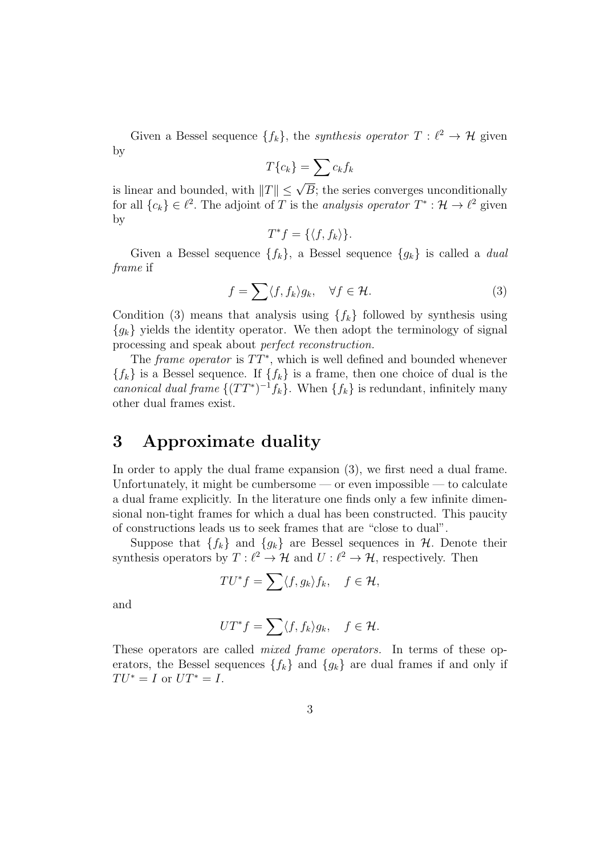Given a Bessel sequence  $\{f_k\}$ , the *synthesis operator*  $T: \ell^2 \to \mathcal{H}$  given by

$$
T\{c_k\} = \sum c_k f_k
$$

is linear and bounded, with  $||T|| \leq \sqrt{B}$ ; the series converges unconditionally for all  ${c_k} \in \ell^2$ . The adjoint of *T* is the *analysis operator*  $T^* : \mathcal{H} \to \ell^2$  given by

$$
T^*f = \{ \langle f, f_k \rangle \}.
$$

Given a Bessel sequence *{fk}*, a Bessel sequence *{gk}* is called a *dual frame* if

$$
f = \sum \langle f, f_k \rangle g_k, \quad \forall f \in \mathcal{H}.
$$
 (3)

Condition (3) means that analysis using  ${f_k}$  followed by synthesis using  ${g_k}$  yields the identity operator. We then adopt the terminology of signal processing and speak about *perfect reconstruction.*

The *frame operator* is  $TT^*$ , which is well defined and bounded whenever  ${f_k}$  is a Bessel sequence. If  ${f_k}$  is a frame, then one choice of dual is the *canonical dual frame*  $\{(TT^*)^{-1}f_k\}$ . When  $\{f_k\}$  is redundant, infinitely many other dual frames exist.

## **3 Approximate duality**

In order to apply the dual frame expansion (3), we first need a dual frame. Unfortunately, it might be cumbersome  $-$  or even impossible  $-$  to calculate a dual frame explicitly. In the literature one finds only a few infinite dimensional non-tight frames for which a dual has been constructed. This paucity of constructions leads us to seek frames that are "close to dual".

Suppose that  ${f_k}$  and  ${g_k}$  are Bessel sequences in *H.* Denote their synthesis operators by  $T: \ell^2 \to \mathcal{H}$  and  $U: \ell^2 \to \mathcal{H}$ , respectively. Then

$$
TU^*f = \sum \langle f, g_k \rangle f_k, \quad f \in \mathcal{H},
$$

and

$$
UT^*f = \sum \langle f, f_k \rangle g_k, \quad f \in \mathcal{H}.
$$

These operators are called *mixed frame operators.* In terms of these operators, the Bessel sequences  ${f_k}$  and  ${g_k}$  are dual frames if and only if  $TU^* = I$  or  $UT^* = I$ .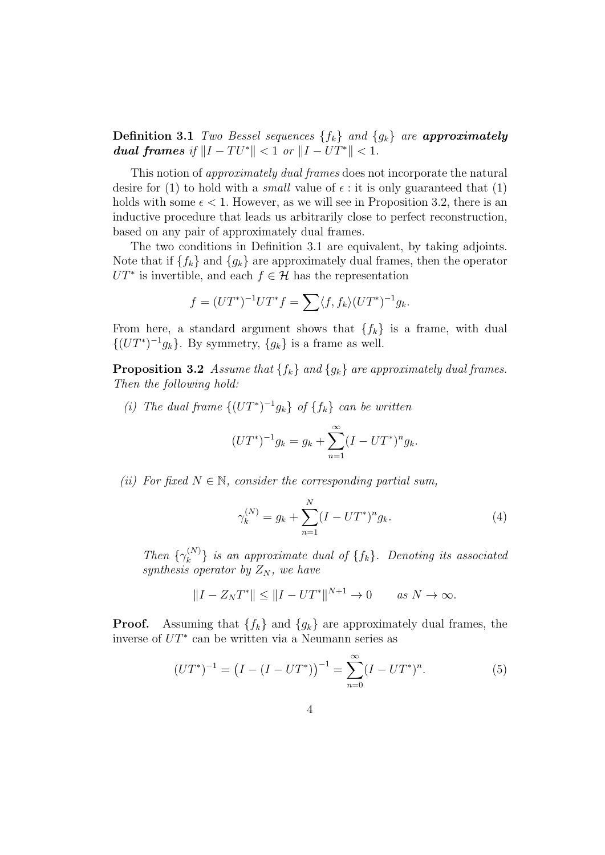**Definition 3.1** *Two Bessel sequences {fk} and {gk} are approximately dual frames if*  $||I - TU^*|| < 1$  *or*  $||I - UT^*|| < 1$ .

This notion of *approximately dual frames* does not incorporate the natural desire for (1) to hold with a *small* value of  $\epsilon$  : it is only guaranteed that (1) holds with some  $\epsilon$  < 1. However, as we will see in Proposition 3.2, there is an inductive procedure that leads us arbitrarily close to perfect reconstruction, based on any pair of approximately dual frames.

The two conditions in Definition 3.1 are equivalent, by taking adjoints. Note that if  ${f_k}$  and  ${g_k}$  are approximately dual frames, then the operator  $UT^*$  is invertible, and each  $f \in \mathcal{H}$  has the representation

$$
f = (UT^*)^{-1}UT^*f = \sum \langle f, f_k \rangle (UT^*)^{-1}g_k.
$$

From here, a standard argument shows that  ${f_k}$  is a frame, with dual  $\{(UT^*)^{-1}g_k\}$ . By symmetry,  $\{g_k\}$  is a frame as well.

**Proposition 3.2** *Assume that*  $\{f_k\}$  *and*  $\{g_k\}$  *are approximately dual frames. Then the following hold:*

*(i) The dual frame*  ${(UT^*)^{-1}g_k}$  *of*  ${f_k}$  *can be written* 

$$
(UT^*)^{-1}g_k = g_k + \sum_{n=1}^{\infty} (I - UT^*)^n g_k.
$$

*(ii)* For fixed  $N \in \mathbb{N}$ , consider the corresponding partial sum,

$$
\gamma_k^{(N)} = g_k + \sum_{n=1}^N (I - UT^*)^n g_k.
$$
 (4)

*Then*  $\{\gamma_k^{(N)}\}$  $\{f_k\}$ *. Denoting its associated synthesis operator by Z<sup>N</sup> , we have*

$$
||I - Z_N T^*|| \le ||I - UT^*||^{N+1} \to 0 \quad \text{as } N \to \infty.
$$

**Proof.** Assuming that  ${f_k}$  and  ${g_k}$  are approximately dual frames, the inverse of *UT<sup>∗</sup>* can be written via a Neumann series as

$$
(UT^*)^{-1} = (I - (I - UT^*))^{-1} = \sum_{n=0}^{\infty} (I - UT^*)^n.
$$
 (5)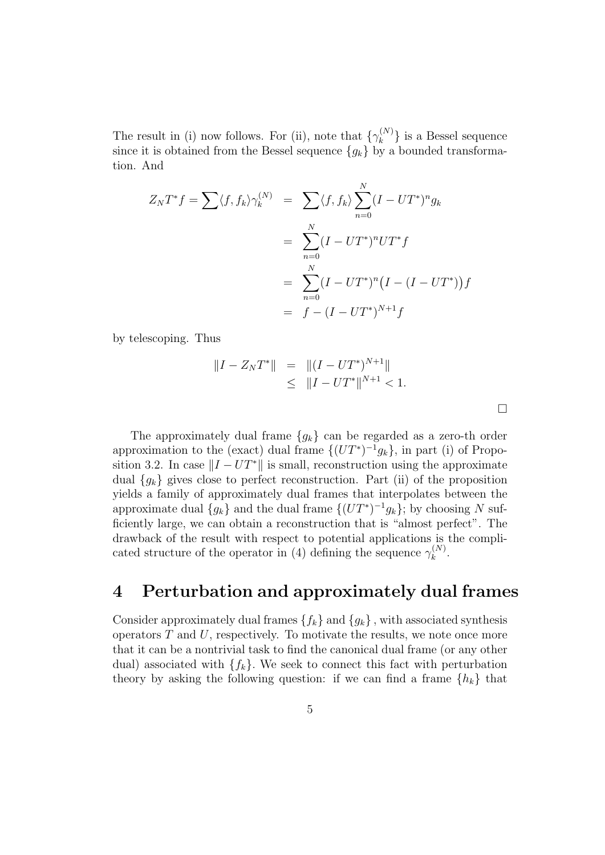The result in (i) now follows. For (ii), note that  $\{\gamma_k^{(N)}\}$  $\{k^{(N)}\}$  is a Bessel sequence since it is obtained from the Bessel sequence  ${g_k}$  by a bounded transformation. And

$$
Z_N T^* f = \sum \langle f, f_k \rangle \gamma_k^{(N)} = \sum \langle f, f_k \rangle \sum_{n=0}^N (I - UT^*)^n g_k
$$
  
= 
$$
\sum_{n=0}^N (I - UT^*)^n UT^* f
$$
  
= 
$$
\sum_{n=0}^N (I - UT^*)^n (I - (I - UT^*)) f
$$
  
= 
$$
f - (I - UT^*)^{N+1} f
$$

by telescoping. Thus

$$
||I - Z_N T^*|| = ||(I - UT^*)^{N+1}||
$$
  
\n
$$
\leq ||I - UT^*||^{N+1} < 1.
$$

 $\Box$ 

The approximately dual frame *{gk}* can be regarded as a zero-th order approximation to the (exact) dual frame  $\{(UT^*)^{-1}g_k\}$ , in part (i) of Proposition 3.2. In case  $||I - UT^*||$  is small, reconstruction using the approximate dual  ${g_k}$  gives close to perfect reconstruction. Part (ii) of the proposition yields a family of approximately dual frames that interpolates between the approximate dual  ${g_k}$  and the dual frame  ${(UT^*)^{-1}g_k}$ ; by choosing *N* sufficiently large, we can obtain a reconstruction that is "almost perfect". The drawback of the result with respect to potential applications is the complicated structure of the operator in (4) defining the sequence  $\gamma_k^{(N)}$  $\stackrel{(N)}{k}$ .

### **4 Perturbation and approximately dual frames**

Consider approximately dual frames  $\{f_k\}$  and  $\{g_k\}$ , with associated synthesis operators *T* and *U*, respectively. To motivate the results, we note once more that it can be a nontrivial task to find the canonical dual frame (or any other dual) associated with  ${f_k}$ . We seek to connect this fact with perturbation theory by asking the following question: if we can find a frame  ${h_k}$  that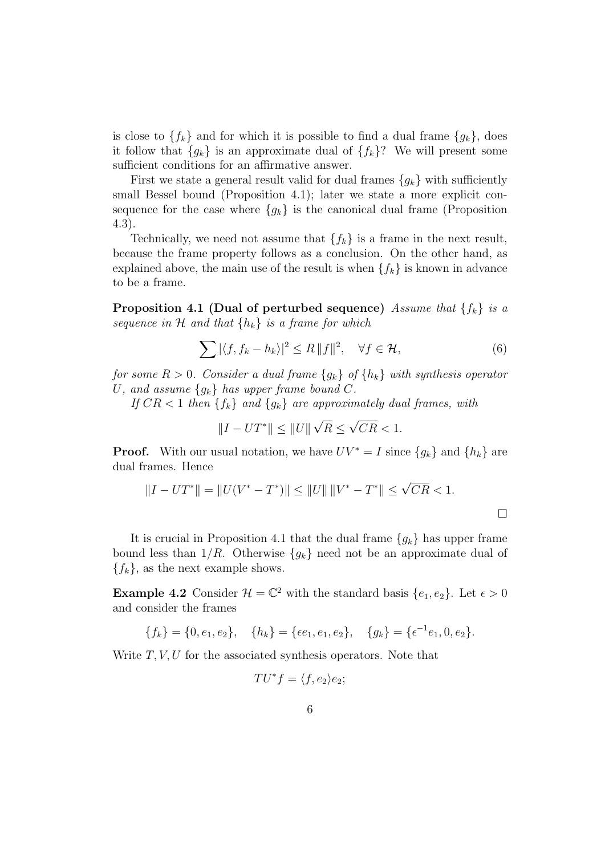is close to  $\{f_k\}$  and for which it is possible to find a dual frame  $\{g_k\}$ , does it follow that  ${g_k}$  is an approximate dual of  ${f_k}$ ? We will present some sufficient conditions for an affirmative answer.

First we state a general result valid for dual frames  ${g_k}$  with sufficiently small Bessel bound (Proposition 4.1); later we state a more explicit consequence for the case where  ${g_k}$  is the canonical dual frame (Proposition 4.3).

Technically, we need not assume that  ${f_k}$  is a frame in the next result, because the frame property follows as a conclusion. On the other hand, as explained above, the main use of the result is when  ${f_k}$  is known in advance to be a frame.

**Proposition 4.1 (Dual of perturbed sequence)** *Assume that {fk} is a sequence in*  $H$  *and that*  $\{h_k\}$  *is a frame for which* 

$$
\sum |\langle f, f_k - h_k \rangle|^2 \le R \|f\|^2, \quad \forall f \in \mathcal{H}, \tag{6}
$$

*for some*  $R > 0$ *. Consider a dual frame*  ${g_k}$  *of*  ${h_k}$  *with synthesis operator U,* and assume  ${g_k}$  *has upper frame bound C.* 

*If*  $CR < 1$  *then*  ${f_k}$  *and*  ${g_k}$  *are approximately dual frames, with* 

$$
||I - UT^*|| \le ||U|| \sqrt{R} \le \sqrt{CR} < 1.
$$

**Proof.** With our usual notation, we have  $UV^* = I$  since  $\{g_k\}$  and  $\{h_k\}$  are dual frames. Hence

$$
||I - UT^*|| = ||U(V^* - T^*)|| \le ||U|| ||V^* - T^*|| \le \sqrt{CR} < 1.
$$

It is crucial in Proposition 4.1 that the dual frame  ${g_k}$  has upper frame bound less than  $1/R$ . Otherwise  ${g_k}$  need not be an approximate dual of  ${f_k}$ , as the next example shows.

**Example 4.2** Consider  $\mathcal{H} = \mathbb{C}^2$  with the standard basis  $\{e_1, e_2\}$ . Let  $\epsilon > 0$ and consider the frames

$$
\{f_k\} = \{0, e_1, e_2\}, \quad \{h_k\} = \{\epsilon e_1, e_1, e_2\}, \quad \{g_k\} = \{\epsilon^{-1}e_1, 0, e_2\}.
$$

Write *T, V, U* for the associated synthesis operators. Note that

$$
TU^*f = \langle f, e_2 \rangle e_2;
$$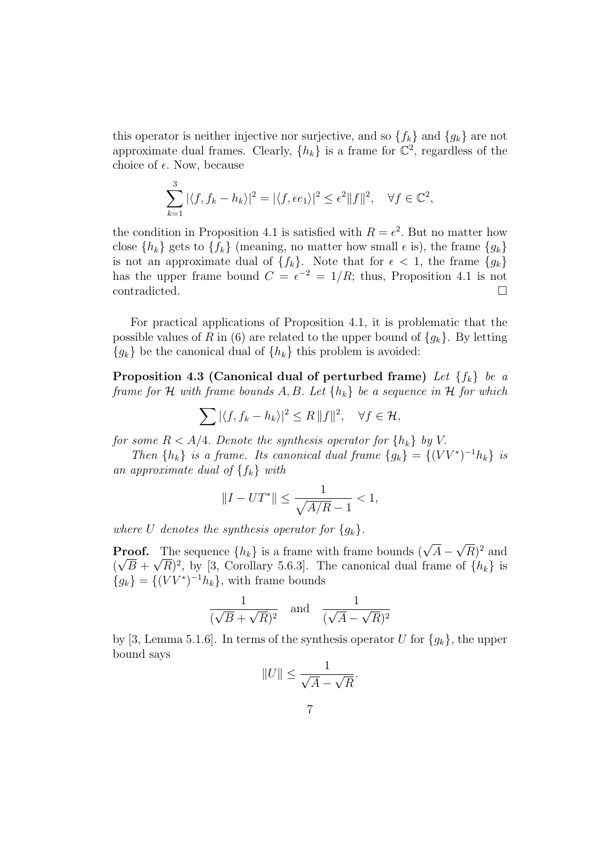this operator is neither injective nor surjective, and so  $\{f_k\}$  and  $\{g_k\}$  are not approximate dual frames. Clearly,  $\{h_k\}$  is a frame for  $\mathbb{C}^2$ , regardless of the choice of  $\epsilon$ . Now, because

$$
\sum_{k=1}^3 |\langle f, f_k - h_k \rangle|^2 = |\langle f, \epsilon e_1 \rangle|^2 \le \epsilon^2 ||f||^2, \quad \forall f \in \mathbb{C}^2,
$$

the condition in Proposition 4.1 is satisfied with  $R = \epsilon^2$ . But no matter how close  ${h_k}$  gets to  ${f_k}$  (meaning, no matter how small  $\epsilon$  is), the frame  ${g_k}$ is not an approximate dual of  ${f_k}$ . Note that for  $\epsilon < 1$ , the frame  ${g_k}$ has the upper frame bound  $C = \epsilon^{-2} = 1/R$ ; thus, Proposition 4.1 is not  $\Box$ contradicted.  $\Box$ 

For practical applications of Proposition 4.1, it is problematic that the possible values of *R* in (6) are related to the upper bound of  ${g_k}$ . By letting  ${q_k}$  be the canonical dual of  ${h_k}$  this problem is avoided:

**Proposition 4.3 (Canonical dual of perturbed frame)** *Let {fk} be a frame for H with frame bounds A, B. Let {hk} be a sequence in H for which*

$$
\sum |\langle f, f_k - h_k \rangle|^2 \le R \|f\|^2, \quad \forall f \in \mathcal{H},
$$

*for some*  $R < A/4$ *. Denote the synthesis operator for*  $\{h_k\}$  *by V*.

*Then*  ${h_k}$  *is a frame. Its canonical dual frame*  ${g_k} = {(VV^*)^{-1}h_k}$  *is an approximate dual of {fk} with*

$$
||I - UT^*|| \le \frac{1}{\sqrt{A/R} - 1} < 1,
$$

*where U denotes the synthesis operator for*  ${g_k}$ .

**Proof.** The sequence  $\{h_k\}$  is a frame with frame bounds ( $\sqrt{A}$  – *√* **Proof.** The sequence  $\{h_k\}$  is a frame with frame bounds  $(\sqrt{A} - \sqrt{R})^2$  and  $(\sqrt{B} + \sqrt{R})^2$ , by [3, Corollary 5.6.3]. The canonical dual frame of  $\{h_k\}$  is  ${g_k} = \{(VV^*)^{-1}h_k\}$ , with frame bounds

$$
\frac{1}{(\sqrt{B} + \sqrt{R})^2} \quad \text{and} \quad \frac{1}{(\sqrt{A} - \sqrt{R})^2}
$$

by [3, Lemma 5.1.6]. In terms of the synthesis operator *U* for  ${g_k}$ , the upper bound says

$$
||U|| \le \frac{1}{\sqrt{A} - \sqrt{R}}.
$$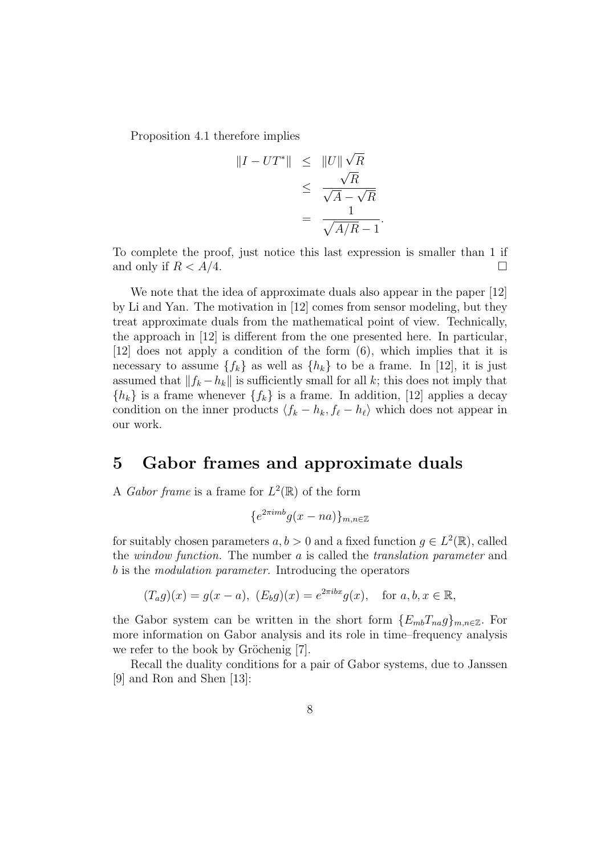Proposition 4.1 therefore implies

$$
||I - UT^*|| \le ||U||\sqrt{R}
$$
  
\n
$$
\le \frac{\sqrt{R}}{\sqrt{A} - \sqrt{R}}
$$
  
\n
$$
= \frac{1}{\sqrt{A/R} - 1}.
$$

To complete the proof, just notice this last expression is smaller than 1 if and only if  $R < A/4$ .

We note that the idea of approximate duals also appear in the paper [12] by Li and Yan. The motivation in [12] comes from sensor modeling, but they treat approximate duals from the mathematical point of view. Technically, the approach in [12] is different from the one presented here. In particular, [12] does not apply a condition of the form (6), which implies that it is necessary to assume  $\{f_k\}$  as well as  $\{h_k\}$  to be a frame. In [12], it is just assumed that  $||f_k - h_k||$  is sufficiently small for all *k*; this does not imply that  ${h_k}$  is a frame whenever  ${f_k}$  is a frame. In addition, [12] applies a decay condition on the inner products  $\langle f_k - h_k, f_\ell - h_\ell \rangle$  which does not appear in our work.

#### **5 Gabor frames and approximate duals**

A *Gabor frame* is a frame for  $L^2(\mathbb{R})$  of the form

$$
\{e^{2\pi i m b}g(x-na)\}_{m,n\in\mathbb{Z}}
$$

for suitably chosen parameters  $a, b > 0$  and a fixed function  $g \in L^2(\mathbb{R})$ , called the *window function.* The number *a* is called the *translation parameter* and *b* is the *modulation parameter.* Introducing the operators

$$
(T_a g)(x) = g(x - a), \ (E_b g)(x) = e^{2\pi i bx} g(x), \text{ for } a, b, x \in \mathbb{R},
$$

the Gabor system can be written in the short form  ${E_{mb}}T_{na}g_{mn} \in \mathbb{Z}$ . For more information on Gabor analysis and its role in time–frequency analysis we refer to the book by Gröchenig  $[7]$ .

Recall the duality conditions for a pair of Gabor systems, due to Janssen [9] and Ron and Shen [13]: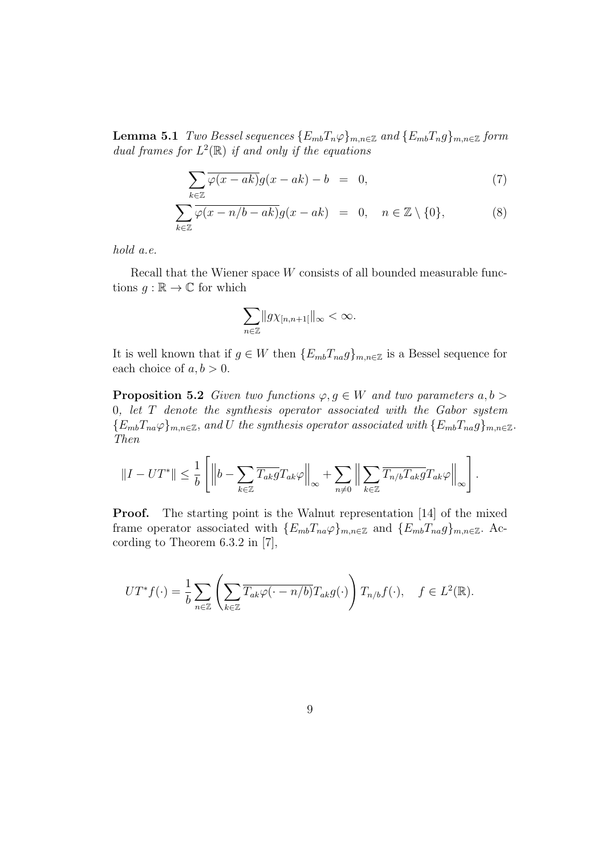**Lemma 5.1** *Two Bessel sequences*  ${E_{mb}}{T_n}\varphi_{m,n\in\mathbb{Z}}$  *and*  ${E_{mb}}{T_n}\varphi_{m,n\in\mathbb{Z}}$  *form* dual frames for  $L^2(\mathbb{R})$  *if and only if the equations* 

$$
\sum_{k\in\mathbb{Z}}\overline{\varphi(x-ak)}g(x-ak)-b = 0, \qquad (7)
$$

$$
\sum_{k\in\mathbb{Z}}\overline{\varphi(x-n/b-ak)}g(x-ak) = 0, \quad n\in\mathbb{Z}\setminus\{0\},\tag{8}
$$

*hold a.e.*

Recall that the Wiener space *W* consists of all bounded measurable functions  $q : \mathbb{R} \to \mathbb{C}$  for which

$$
\sum_{n\in\mathbb{Z}}\|g\chi_{[n,n+1[}]\|_{\infty}<\infty.
$$

It is well known that if  $g \in W$  then  ${E_{mb}}T_{na}g$ <sub>*m*,*n* $\in \mathbb{Z}$  is a Bessel sequence for</sub> each choice of  $a, b > 0$ .

**Proposition 5.2** *Given two functions*  $\varphi, g \in W$  *and two parameters*  $a, b >$ 0*, let T denote the synthesis operator associated with the Gabor system*  ${E_{mb}}T_{na}\varphi\}_{m,n\in\mathbb{Z}}$ , and U the synthesis operator associated with  ${E_{mb}}T_{na}g\}_{m,n\in\mathbb{Z}}$ . *Then*

$$
||I - UT^*|| \leq \frac{1}{b} \left[ \left\| b - \sum_{k \in \mathbb{Z}} \overline{T_{ak}g} T_{ak} \varphi \right\|_{\infty} + \sum_{n \neq 0} \left\| \sum_{k \in \mathbb{Z}} \overline{T_{n/b} T_{ak}g} T_{ak} \varphi \right\|_{\infty} \right].
$$

**Proof.** The starting point is the Walnut representation [14] of the mixed frame operator associated with  ${E_{mb}T_{na}\varphi}_{m,n\in\mathbb{Z}}$  and  ${E_{mb}T_{na}g}_{m,n\in\mathbb{Z}}$ . According to Theorem 6.3.2 in [7],

$$
UT^*f(\cdot) = \frac{1}{b} \sum_{n \in \mathbb{Z}} \left( \sum_{k \in \mathbb{Z}} \overline{T_{ak} \varphi(\cdot - n/b)} T_{ak} g(\cdot) \right) T_{n/b} f(\cdot), \quad f \in L^2(\mathbb{R}).
$$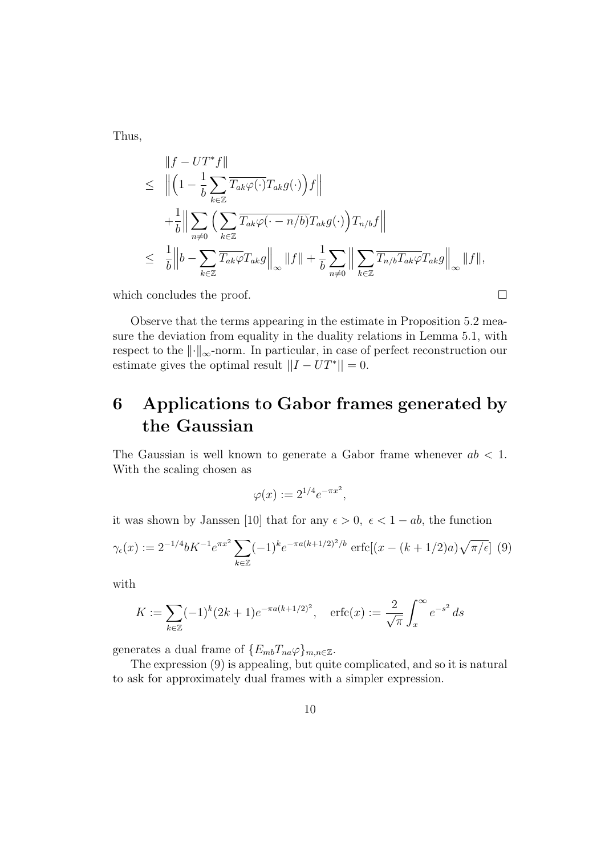Thus,

$$
\|f - UT^* f\|
$$
\n
$$
\leq \left\| \left(1 - \frac{1}{b} \sum_{k \in \mathbb{Z}} \overline{T_{ak} \varphi(\cdot)} T_{ak} g(\cdot) \right) f \right\|
$$
\n
$$
+ \frac{1}{b} \left\| \sum_{n \neq 0} \left( \sum_{k \in \mathbb{Z}} \overline{T_{ak} \varphi(\cdot - n/b)} T_{ak} g(\cdot) \right) T_{n/b} f \right\|
$$
\n
$$
\leq \frac{1}{b} \left\| b - \sum_{k \in \mathbb{Z}} \overline{T_{ak} \varphi} T_{ak} g \right\|_{\infty} \|f\| + \frac{1}{b} \sum_{n \neq 0} \left\| \sum_{k \in \mathbb{Z}} \overline{T_{n/b} T_{ak} \varphi} T_{ak} g \right\|_{\infty} \|f\|,
$$

which concludes the proof.  $\Box$ 

Observe that the terms appearing in the estimate in Proposition 5.2 measure the deviation from equality in the duality relations in Lemma 5.1, with respect to the *∥·∥∞*-norm. In particular, in case of perfect reconstruction our estimate gives the optimal result  $||I - UT^*|| = 0$ .

## **6 Applications to Gabor frames generated by the Gaussian**

The Gaussian is well known to generate a Gabor frame whenever *ab <* 1*.* With the scaling chosen as

$$
\varphi(x) := 2^{1/4} e^{-\pi x^2},
$$

it was shown by Janssen [10] that for any  $\epsilon > 0$ ,  $\epsilon < 1 - ab$ , the function

$$
\gamma_{\epsilon}(x) := 2^{-1/4} b K^{-1} e^{\pi x^2} \sum_{k \in \mathbb{Z}} (-1)^k e^{-\pi a (k+1/2)^2/b} \operatorname{erfc}[(x - (k+1/2)a) \sqrt{\pi/\epsilon}] \tag{9}
$$

with

$$
K := \sum_{k \in \mathbb{Z}} (-1)^k (2k+1) e^{-\pi a(k+1/2)^2}, \quad \text{erfc}(x) := \frac{2}{\sqrt{\pi}} \int_x^{\infty} e^{-s^2} \, ds
$$

generates a dual frame of  ${E_{mb}}{T_{na}}\varphi$ <sub>*m*,*n* $\in \mathbb{Z}$ .</sub>

The expression (9) is appealing, but quite complicated, and so it is natural to ask for approximately dual frames with a simpler expression.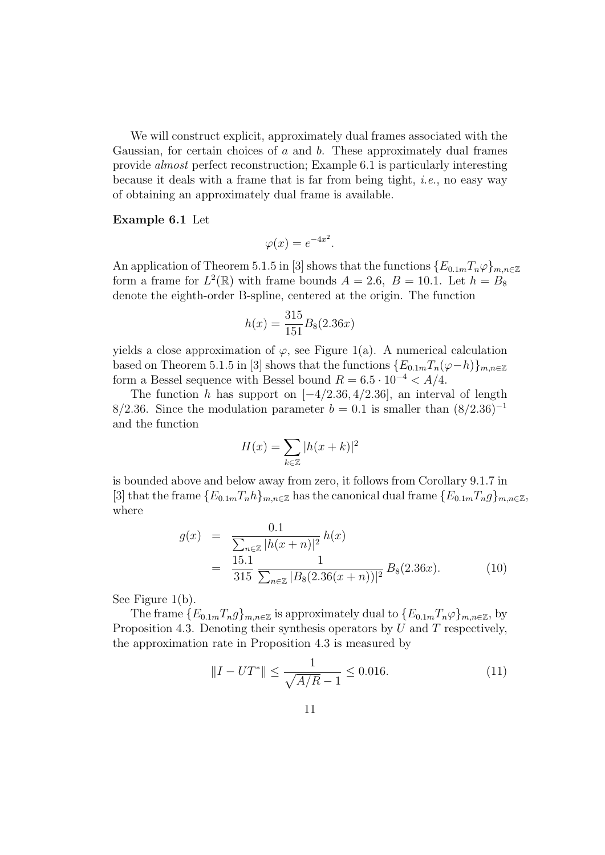We will construct explicit, approximately dual frames associated with the Gaussian, for certain choices of *a* and *b*. These approximately dual frames provide *almost* perfect reconstruction; Example 6.1 is particularly interesting because it deals with a frame that is far from being tight, *i.e.*, no easy way of obtaining an approximately dual frame is available.

#### **Example 6.1** Let

$$
\varphi(x) = e^{-4x^2}.
$$

An application of Theorem 5.1.5 in [3] shows that the functions  ${E_{0.1m}}T_n\varphi_{m,n\in\mathbb{Z}}$ form a frame for  $L^2(\mathbb{R})$  with frame bounds  $A = 2.6$ ,  $B = 10.1$ . Let  $h = B_8$ denote the eighth-order B-spline, centered at the origin. The function

$$
h(x) = \frac{315}{151} B_8(2.36x)
$$

yields a close approximation of  $\varphi$ , see Figure 1(a). A numerical calculation based on Theorem 5.1.5 in [3] shows that the functions  ${E_{0.1m}}T_n(\varphi-h)$ <sub>*m,n* $\in \mathbb{Z}$ </sub> form a Bessel sequence with Bessel bound  $R = 6.5 \cdot 10^{-4} < A/4$ .

The function *h* has support on [*−*4*/*2*.*36*,* 4*/*2*.*36]*,* an interval of length 8/2.36. Since the modulation parameter  $b = 0.1$  is smaller than  $(8/2.36)^{-1}$ and the function

$$
H(x) = \sum_{k \in \mathbb{Z}} |h(x+k)|^2
$$

is bounded above and below away from zero, it follows from Corollary 9.1.7 in [3] that the frame  ${E_{0.1m}T_nh}_{m,n\in\mathbb{Z}}$  has the canonical dual frame  ${E_{0.1m}T_ng}_{m,n\in\mathbb{Z}}$ , where

$$
g(x) = \frac{0.1}{\sum_{n \in \mathbb{Z}} |h(x+n)|^2} h(x)
$$
  
= 
$$
\frac{15.1}{315} \frac{1}{\sum_{n \in \mathbb{Z}} |B_8(2.36(x+n))|^2} B_8(2.36x).
$$
 (10)

See Figure 1(b).

The frame  ${E_{0.1m}T_n g}_{m,n \in \mathbb{Z}}$  is approximately dual to  ${E_{0.1m}T_n \varphi}_{m,n \in \mathbb{Z}}$ , by Proposition 4.3. Denoting their synthesis operators by *U* and *T* respectively, the approximation rate in Proposition 4.3 is measured by

$$
||I - UT^*|| \le \frac{1}{\sqrt{A/R - 1}} \le 0.016. \tag{11}
$$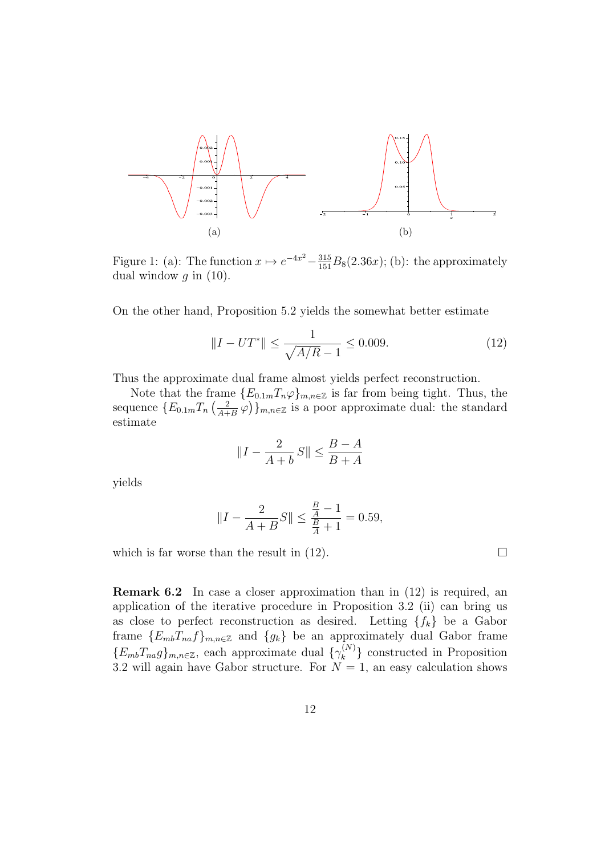

Figure 1: (a): The function  $x \mapsto e^{-4x^2} - \frac{315}{151}B_8(2.36x)$ ; (b): the approximately dual window  $q$  in  $(10)$ .

On the other hand, Proposition 5.2 yields the somewhat better estimate

$$
||I - UT^*|| \le \frac{1}{\sqrt{A/R} - 1} \le 0.009. \tag{12}
$$

Thus the approximate dual frame almost yields perfect reconstruction.

Note that the frame  ${E_{0.1m}T_n\varphi}_{m,n\in\mathbb{Z}}$  is far from being tight. Thus, the sequence  ${E_{0.1m}}T_n\left(\frac{2}{4+}\right)$  $\left(\frac{2}{A+B}\varphi\right)$ <sub>*m*,*n*∈Z is a poor approximate dual: the standard</sub> estimate

$$
||I - \frac{2}{A+b}S|| \le \frac{B-A}{B+A}
$$

yields

$$
||I - \frac{2}{A+B}S|| \le \frac{\frac{B}{A} - 1}{\frac{B}{A} + 1} = 0.59,
$$

which is far worse than the result in  $(12)$ .

**Remark 6.2** In case a closer approximation than in  $(12)$  is required, an application of the iterative procedure in Proposition 3.2 (ii) can bring us as close to perfect reconstruction as desired. Letting  ${f_k}$  be a Gabor frame  ${E_{mb}}T_{na}f_{mn}$ *g* and  ${g_k}$  be an approximately dual Gabor frame  ${E_{mb}}T_{na}g\}_{m,n\in\mathbb{Z}}$ , each approximate dual  ${\{\gamma_k^{(N)}\}}$  $\binom{n}{k}$  constructed in Proposition 3.2 will again have Gabor structure. For  $N = 1$ , an easy calculation shows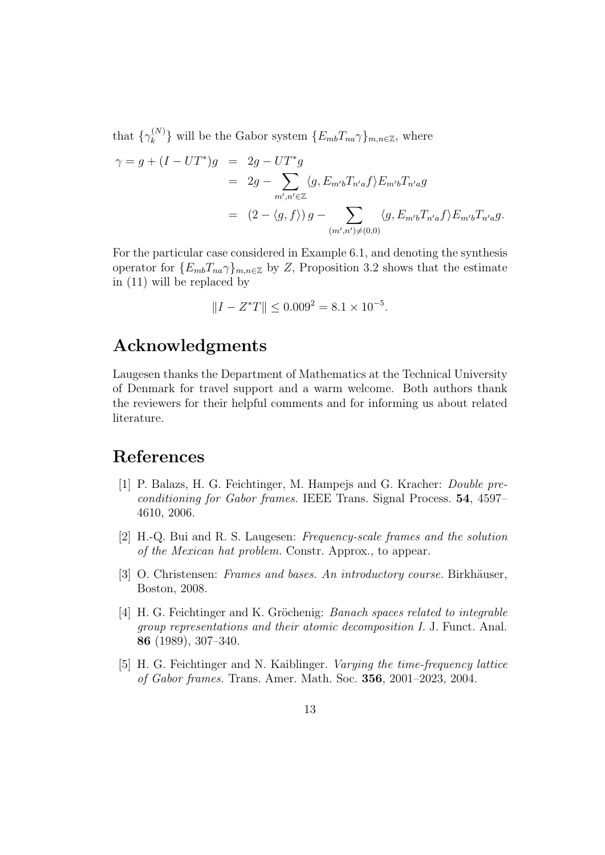that  $\{\gamma_k^{(N)}\}$  $\{E_{mb}T_{na}\gamma\}_{m,n\in\mathbb{Z}}$ , where

$$
\gamma = g + (I - UT^*)g = 2g - UT^*g
$$
  
= 
$$
2g - \sum_{m',n' \in \mathbb{Z}} \langle g, E_{m'b} T_{n'a} f \rangle E_{m'b} T_{n'a} g
$$
  
= 
$$
(2 - \langle g, f \rangle) g - \sum_{(m',n') \neq (0,0)} \langle g, E_{m'b} T_{n'a} f \rangle E_{m'b} T_{n'a} g.
$$

For the particular case considered in Example 6.1, and denoting the synthesis operator for  ${E_{mb}}T_{na}\gamma_{mn\in\mathbb{Z}}$  by *Z*, Proposition 3.2 shows that the estimate in (11) will be replaced by

$$
||I - Z^*T|| \le 0.009^2 = 8.1 \times 10^{-5}.
$$

### **Acknowledgments**

Laugesen thanks the Department of Mathematics at the Technical University of Denmark for travel support and a warm welcome. Both authors thank the reviewers for their helpful comments and for informing us about related literature.

### **References**

- [1] P. Balazs, H. G. Feichtinger, M. Hampejs and G. Kracher: *Double preconditioning for Gabor frames.* IEEE Trans. Signal Process. **54**, 4597– 4610, 2006.
- [2] H.-Q. Bui and R. S. Laugesen: *Frequency-scale frames and the solution of the Mexican hat problem.* Constr. Approx., to appear.
- [3] O. Christensen: *Frames and bases. An introductory course*. Birkhäuser, Boston, 2008.
- [4] H. G. Feichtinger and K. Gröchenig: *Banach spaces related to integrable group representations and their atomic decomposition I.* J. Funct. Anal. **86** (1989), 307–340.
- [5] H. G. Feichtinger and N. Kaiblinger. *Varying the time-frequency lattice of Gabor frames.* Trans. Amer. Math. Soc. **356**, 2001–2023, 2004.